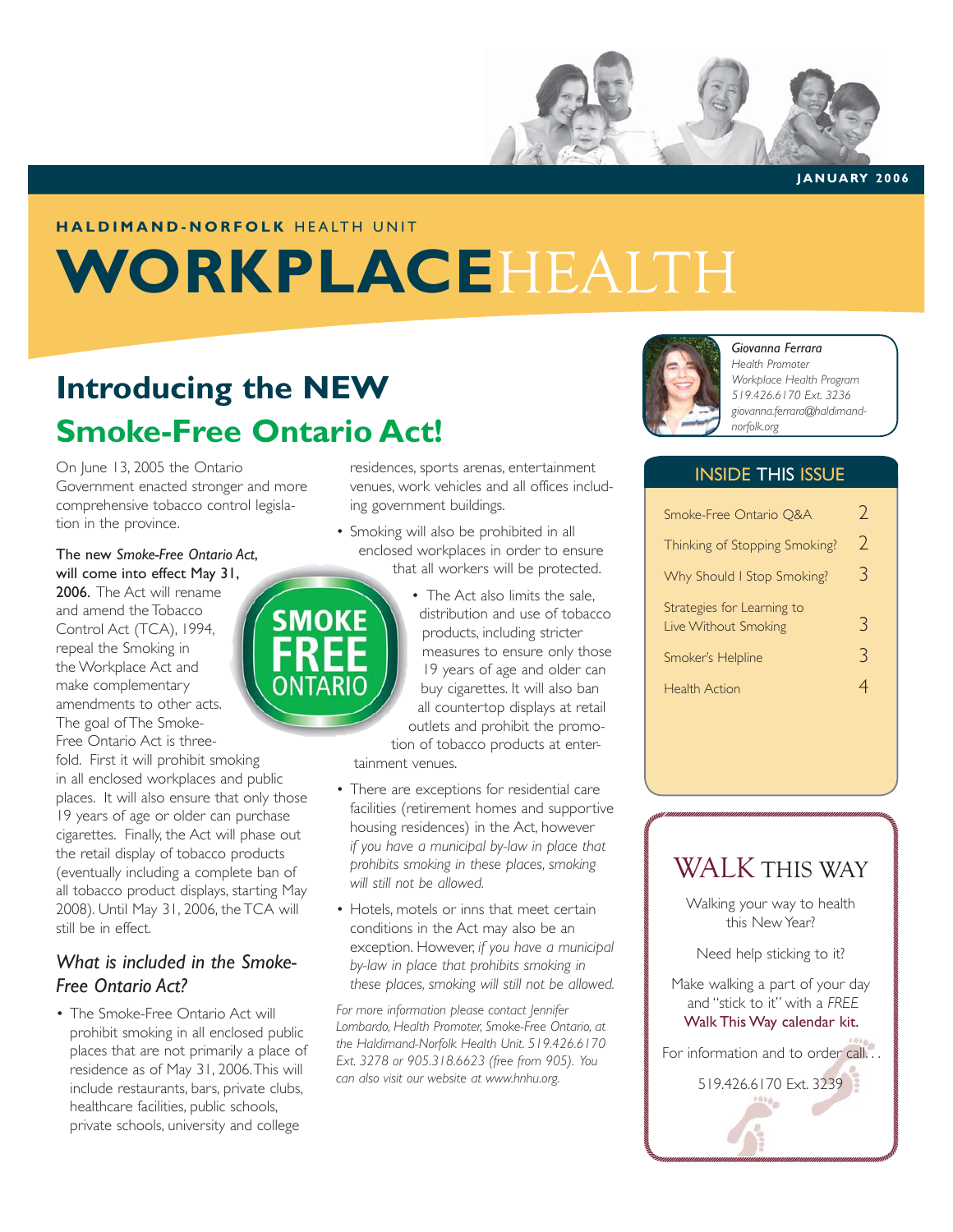

**JANUARY 2006**

#### **HALDIMAND-NORFOLK** HEALTH UNIT

## **WORKPLACE**HEALTH

## **Introducing the NEW Smoke-Free Ontario Act!**

On June 13, 2005 the Ontario Government enacted stronger and more comprehensive tobacco control legislation in the province.

The new *Smoke-Free Ontario Act*, will come into effect May 31, 2006. The Act will rename

and amend the Tobacco Control Act (TCA), 1994, repeal the Smoking in the Workplace Act and make complementary amendments to other acts. The goal of The Smoke-Free Ontario Act is three-

fold. First it will prohibit smoking in all enclosed workplaces and public places. It will also ensure that only those 19 years of age or older can purchase cigarettes. Finally, the Act will phase out the retail display of tobacco products (eventually including a complete ban of all tobacco product displays, starting May 2008). Until May 31, 2006, the TCA will still be in effect.

#### *What is included in the Smoke-Free Ontario Act?*

• The Smoke-Free Ontario Act will prohibit smoking in all enclosed public places that are not primarily a place of residence as of May 31, 2006. This will include restaurants, bars, private clubs, healthcare facilities, public schools, private schools, university and college

residences, sports arenas, entertainment venues, work vehicles and all offices including government buildings.

- Smoking will also be prohibited in all enclosed workplaces in order to ensure that all workers will be protected.
	- The Act also limits the sale, distribution and use of tobacco products, including stricter measures to ensure only those 19 years of age and older can buy cigarettes. It will also ban all countertop displays at retail outlets and prohibit the promo-

tion of tobacco products at entertainment venues.

- There are exceptions for residential care facilities (retirement homes and supportive housing residences) in the Act, however *if you have a municipal by-law in place that prohibits smoking in these places, smoking will still not be allowed.*
- Hotels, motels or inns that meet certain conditions in the Act may also be an exception. However, *if you have a municipal by-law in place that prohibits smoking in these places, smoking will still not be allowed.*

*For more information please contact Jennifer Lombardo, Health Promoter, Smoke-Free Ontario, at the Haldimand-Norfolk Health Unit. 519.426.6170 Ext. 3278 or 905.318.6623 (free from 905). You can also visit our website at www.hnhu.org.*



#### *Giovanna Ferrara*

*Health Promoter Workplace Health Program 519.426.6170 Ext. 3236 giovanna.ferrara@haldimandnorfolk.org*

#### INSIDE THIS ISSUE

| Smoke-Free Ontario Q&A                             |               |
|----------------------------------------------------|---------------|
| Thinking of Stopping Smoking?                      | $\mathcal{C}$ |
| Why Should I Stop Smoking?                         | 3             |
| Strategies for Learning to<br>Live Without Smoking | ≺             |
| Smoker's Helpline                                  | 3             |
| <b>Health Action</b>                               |               |



Walking your way to health this New Year?

Need help sticking to it?

Make walking a part of your day and "stick to it" with a *FREE* Walk This Way calendar kit.

For information and to order call...

519.426.6170 Ext. 3239

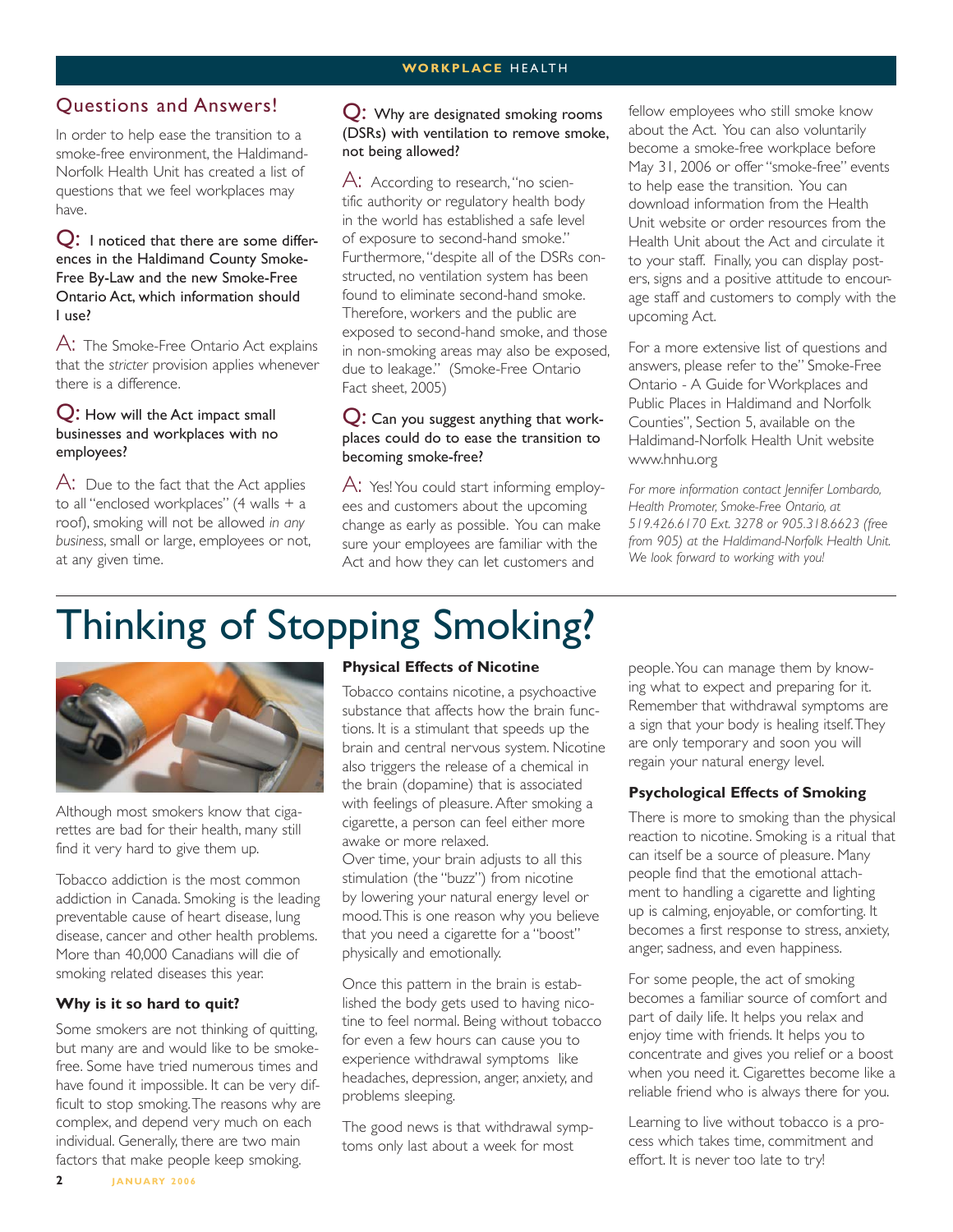#### **WORKPLACE** HEALTH

#### Questions and Answers!

In order to help ease the transition to a smoke-free environment, the Haldimand-Norfolk Health Unit has created a list of questions that we feel workplaces may have.

Q: I noticed that there are some differences in the Haldimand County Smoke-Free By-Law and the new Smoke-Free Ontario Act, which information should I use?

A: The Smoke-Free Ontario Act explains that the *stricter* provision applies whenever there is a difference.

#### Q: How will the Act impact small businesses and workplaces with no employees?

A: Due to the fact that the Act applies to all "enclosed workplaces" (4 walls + a roof), smoking will not be allowed *in any business*, small or large, employees or not, at any given time.

#### Q: Why are designated smoking rooms (DSRs) with ventilation to remove smoke, not being allowed?

A: According to research, "no scientific authority or regulatory health body in the world has established a safe level of exposure to second-hand smoke." Furthermore, "despite all of the DSRs constructed, no ventilation system has been found to eliminate second-hand smoke. Therefore, workers and the public are exposed to second-hand smoke, and those in non-smoking areas may also be exposed, due to leakage." (Smoke-Free Ontario Fact sheet, 2005)

#### Q: Can you suggest anything that workplaces could do to ease the transition to becoming smoke-free?

A: Yes! You could start informing employees and customers about the upcoming change as early as possible. You can make sure your employees are familiar with the Act and how they can let customers and

fellow employees who still smoke know about the Act. You can also voluntarily become a smoke-free workplace before May 31, 2006 or offer "smoke-free" events to help ease the transition. You can download information from the Health Unit website or order resources from the Health Unit about the Act and circulate it to your staff. Finally, you can display posters, signs and a positive attitude to encourage staff and customers to comply with the upcoming Act.

For a more extensive list of questions and answers, please refer to the" Smoke-Free Ontario - A Guide for Workplaces and Public Places in Haldimand and Norfolk Counties", Section 5, available on the Haldimand-Norfolk Health Unit website www.hnhu.org

*For more information contact Jennifer Lombardo, Health Promoter, Smoke-Free Ontario, at 519.426.6170 Ext. 3278 or 905.318.6623 (free from 905) at the Haldimand-Norfolk Health Unit. We look forward to working with you!*

## Thinking of Stopping Smoking?



Although most smokers know that cigarettes are bad for their health, many still find it very hard to give them up.

Tobacco addiction is the most common addiction in Canada. Smoking is the leading preventable cause of heart disease, lung disease, cancer and other health problems. More than 40,000 Canadians will die of smoking related diseases this year.

#### **Why is it so hard to quit?**

Some smokers are not thinking of quitting, but many are and would like to be smokefree. Some have tried numerous times and have found it impossible. It can be very difficult to stop smoking. The reasons why are complex, and depend very much on each individual. Generally, there are two main factors that make people keep smoking.

#### **Physical Effects of Nicotine**

Tobacco contains nicotine, a psychoactive substance that affects how the brain functions. It is a stimulant that speeds up the brain and central nervous system. Nicotine also triggers the release of a chemical in the brain (dopamine) that is associated with feelings of pleasure. After smoking a cigarette, a person can feel either more awake or more relaxed.

Over time, your brain adjusts to all this stimulation (the "buzz") from nicotine by lowering your natural energy level or mood. This is one reason why you believe that you need a cigarette for a "boost" physically and emotionally.

Once this pattern in the brain is established the body gets used to having nicotine to feel normal. Being without tobacco for even a few hours can cause you to experience withdrawal symptoms like headaches, depression, anger, anxiety, and problems sleeping.

The good news is that withdrawal symptoms only last about a week for most

people. You can manage them by knowing what to expect and preparing for it. Remember that withdrawal symptoms are a sign that your body is healing itself. They are only temporary and soon you will regain your natural energy level.

#### **Psychological Effects of Smoking**

There is more to smoking than the physical reaction to nicotine. Smoking is a ritual that can itself be a source of pleasure. Many people find that the emotional attachment to handling a cigarette and lighting up is calming, enjoyable, or comforting. It becomes a first response to stress, anxiety, anger, sadness, and even happiness.

For some people, the act of smoking becomes a familiar source of comfort and part of daily life. It helps you relax and enjoy time with friends. It helps you to concentrate and gives you relief or a boost when you need it. Cigarettes become like a reliable friend who is always there for you.

Learning to live without tobacco is a process which takes time, commitment and effort. It is never too late to try!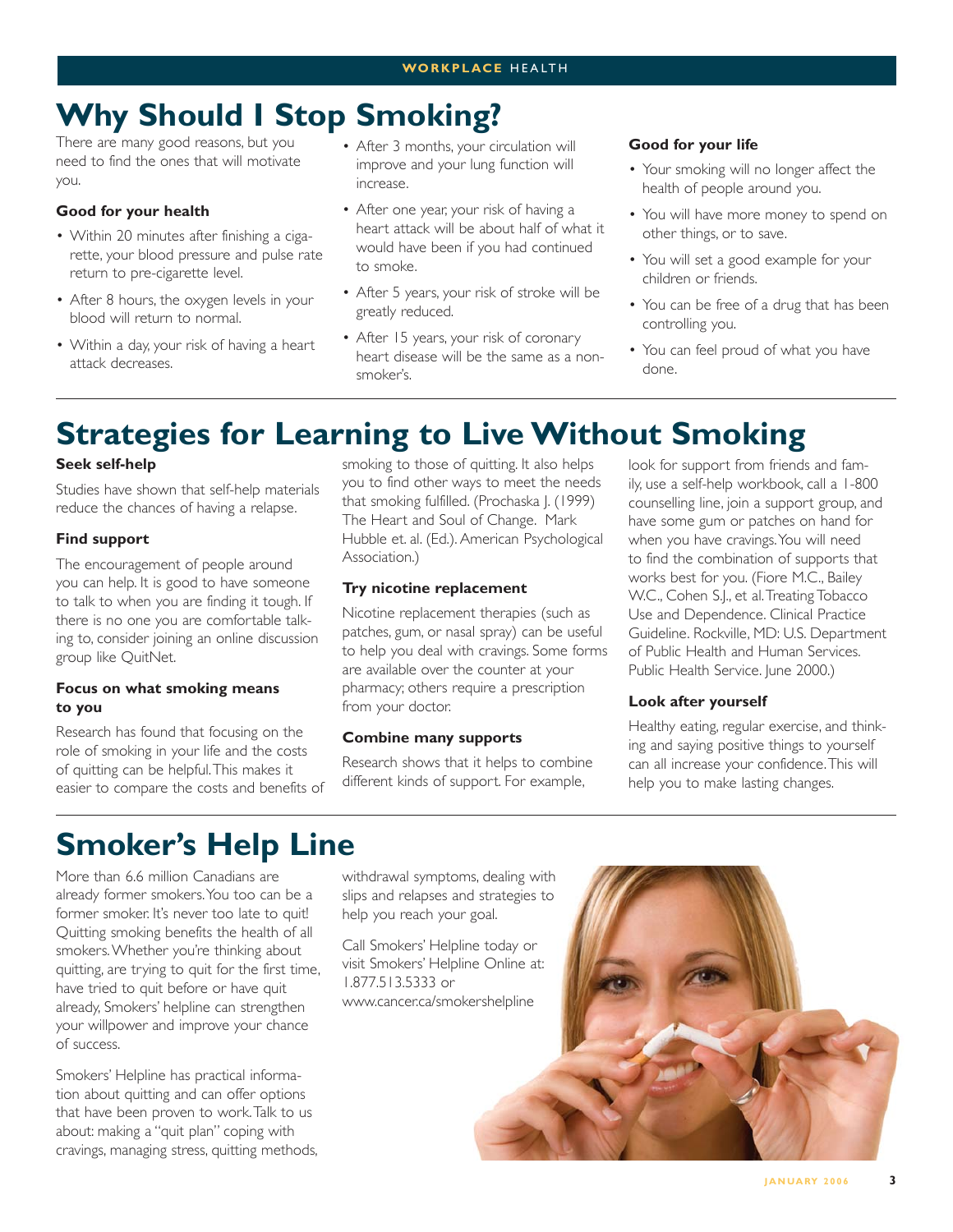## **Why Should I Stop Smoking?**

There are many good reasons, but you need to find the ones that will motivate you.

#### **Good for your health**

- Within 20 minutes after finishing a cigarette, your blood pressure and pulse rate return to pre-cigarette level.
- After 8 hours, the oxygen levels in your blood will return to normal.
- Within a day, your risk of having a heart attack decreases.
- After 3 months, your circulation will improve and your lung function will increase.
- After one year, your risk of having a heart attack will be about half of what it would have been if you had continued to smoke.
- After 5 years, your risk of stroke will be greatly reduced.
- After 15 years, your risk of coronary heart disease will be the same as a nonsmoker's.

#### **Good for your life**

- Your smoking will no longer affect the health of people around you.
- You will have more money to spend on other things, or to save.
- You will set a good example for your children or friends.
- You can be free of a drug that has been controlling you.
- You can feel proud of what you have done.

## **Strategies for Learning to Live Without Smoking**

#### **Seek self-help**

Studies have shown that self-help materials reduce the chances of having a relapse.

#### **Find support**

The encouragement of people around you can help. It is good to have someone to talk to when you are finding it tough. If there is no one you are comfortable talking to, consider joining an online discussion group like QuitNet.

#### **Focus on what smoking means to you**

Research has found that focusing on the role of smoking in your life and the costs of quitting can be helpful. This makes it easier to compare the costs and benefits of

smoking to those of quitting. It also helps you to find other ways to meet the needs that smoking fulfilled. (Prochaska J. (1999) The Heart and Soul of Change. Mark Hubble et. al. (Ed.). American Psychological Association.)

#### **Try nicotine replacement**

Nicotine replacement therapies (such as patches, gum, or nasal spray) can be useful to help you deal with cravings. Some forms are available over the counter at your pharmacy; others require a prescription from your doctor.

#### **Combine many supports**

Research shows that it helps to combine different kinds of support. For example,

look for support from friends and family, use a self-help workbook, call a 1-800 counselling line, join a support group, and have some gum or patches on hand for when you have cravings. You will need to find the combination of supports that works best for you. (Fiore M.C., Bailey W.C., Cohen S.J., et al. Treating Tobacco Use and Dependence. Clinical Practice Guideline. Rockville, MD: U.S. Department of Public Health and Human Services. Public Health Service. June 2000.)

#### **Look after yourself**

Healthy eating, regular exercise, and thinking and saying positive things to yourself can all increase your confidence. This will help you to make lasting changes.

### **Smoker's Help Line**

More than 6.6 million Canadians are already former smokers. You too can be a former smoker. It's never too late to quit! Quitting smoking benefits the health of all smokers. Whether you're thinking about quitting, are trying to quit for the first time, have tried to quit before or have quit already, Smokers' helpline can strengthen your willpower and improve your chance of success.

Smokers' Helpline has practical information about quitting and can offer options that have been proven to work. Talk to us about: making a "quit plan" coping with cravings, managing stress, quitting methods, withdrawal symptoms, dealing with slips and relapses and strategies to help you reach your goal.

Call Smokers' Helpline today or visit Smokers' Helpline Online at: 1.877.513.5333 or www.cancer.ca/smokershelpline